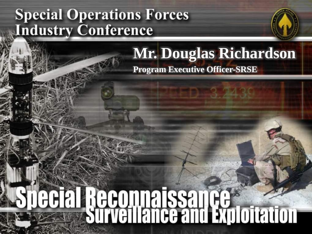### **Special Operations Forces Industry Conference**

#### **Mr. Douglas Richardson Program Executive Officer-SRSE**

# **Decial Reconnaissance**<br>Surveillance and Exploitation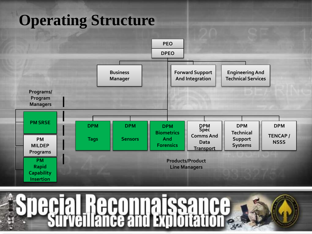# **Operating Structure**



**Reconnaissance**<br>**illance and Exploitation**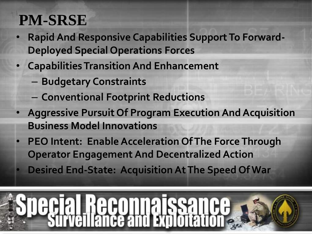# **PM-SRSE**

- **Rapid And Responsive Capabilities Support To Forward-Deployed Special Operations Forces**
- **Capabilities Transition And Enhancement**
	- **Budgetary Constraints**
	- **Conventional Footprint Reductions**
- **Aggressive Pursuit Of Program Execution And Acquisition Business Model Innovations**
- **PEO Intent: Enable Acceleration Of The Force Through Operator Engagement And Decentralized Action**
- **Desired End-State: Acquisition At The Speed Of War**

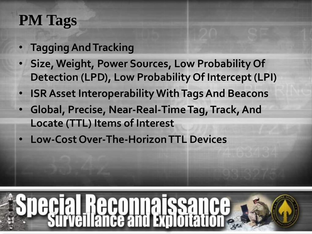# **PM Tags**

- **Tagging And Tracking**
- **Size, Weight, Power Sources, Low Probability Of Detection (LPD), Low Probability Of Intercept (LPI)**
- **ISR Asset Interoperability With Tags And Beacons**
- **Global, Precise, Near-Real-Time Tag, Track, And Locate (TTL) Items of Interest**
- **Low-Cost Over-The-Horizon TTL Devices**

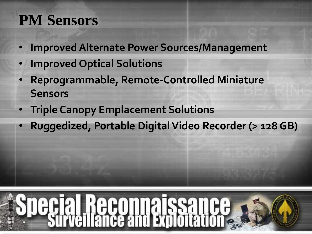# **PM Sensors**

- **Improved Alternate Power Sources/Management**
- **Improved Optical Solutions**
- **Reprogrammable, Remote-Controlled Miniature Sensors**
- **Triple Canopy Emplacement Solutions**
- **Ruggedized, Portable Digital Video Recorder (> 128 GB)**

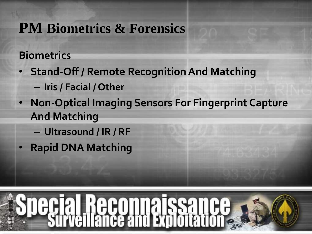#### **PM Biometrics & Forensics**

#### **Biometrics**

- **Stand-Off / Remote Recognition And Matching**  – **Iris / Facial / Other**
- **Non-Optical Imaging Sensors For Fingerprint Capture And Matching** 
	- **Ultrasound / IR / RF**
- **Rapid DNA Matching**

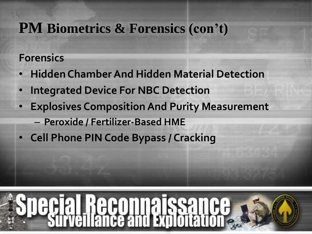#### **PM Biometrics & Forensics (con't)**

#### **Forensics**

- **Hidden Chamber And Hidden Material Detection**
- **Integrated Device For NBC Detection**
- **Explosives Composition And Purity Measurement** 
	- **Peroxide / Fertilizer-Based HME**
- **Cell Phone PIN Code Bypass / Cracking**